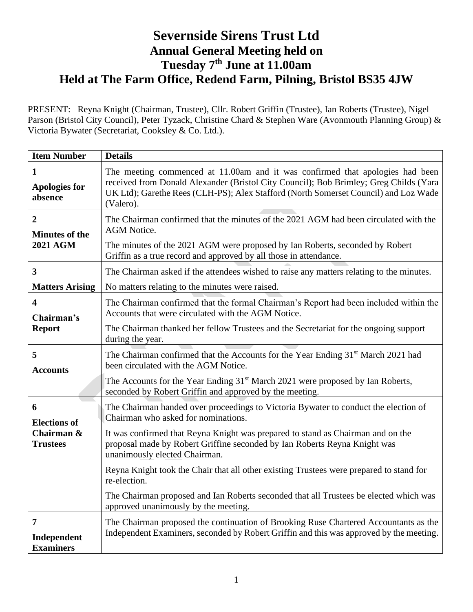## **Severnside Sirens Trust Ltd Annual General Meeting held on Tuesday 7 th June at 11.00am Held at The Farm Office, Redend Farm, Pilning, Bristol BS35 4JW**

PRESENT: Reyna Knight (Chairman, Trustee), Cllr. Robert Griffin (Trustee), Ian Roberts (Trustee), Nigel Parson (Bristol City Council), Peter Tyzack, Christine Chard & Stephen Ware (Avonmouth Planning Group) & Victoria Bywater (Secretariat, Cooksley & Co. Ltd.).

| <b>Item Number</b>                                         | <b>Details</b>                                                                                                                                                                                                                                                             |
|------------------------------------------------------------|----------------------------------------------------------------------------------------------------------------------------------------------------------------------------------------------------------------------------------------------------------------------------|
| $\mathbf{1}$<br><b>Apologies for</b><br>absence            | The meeting commenced at 11.00am and it was confirmed that apologies had been<br>received from Donald Alexander (Bristol City Council); Bob Brimley; Greg Childs (Yara<br>UK Ltd); Garethe Rees (CLH-PS); Alex Stafford (North Somerset Council) and Loz Wade<br>(Valero). |
| $\overline{2}$<br><b>Minutes of the</b><br><b>2021 AGM</b> | The Chairman confirmed that the minutes of the 2021 AGM had been circulated with the<br><b>AGM</b> Notice.<br>The minutes of the 2021 AGM were proposed by Ian Roberts, seconded by Robert<br>Griffin as a true record and approved by all those in attendance.            |
| 3<br><b>Matters Arising</b>                                | The Chairman asked if the attendees wished to raise any matters relating to the minutes.<br>No matters relating to the minutes were raised.                                                                                                                                |
| $\overline{\mathbf{4}}$<br>Chairman's<br><b>Report</b>     | The Chairman confirmed that the formal Chairman's Report had been included within the<br>Accounts that were circulated with the AGM Notice.                                                                                                                                |
|                                                            | The Chairman thanked her fellow Trustees and the Secretariat for the ongoing support<br>during the year.                                                                                                                                                                   |
| 5<br><b>Accounts</b>                                       | The Chairman confirmed that the Accounts for the Year Ending 31 <sup>st</sup> March 2021 had<br>been circulated with the AGM Notice.                                                                                                                                       |
|                                                            | The Accounts for the Year Ending 31 <sup>st</sup> March 2021 were proposed by Ian Roberts,<br>seconded by Robert Griffin and approved by the meeting.                                                                                                                      |
| 6<br><b>Elections of</b>                                   | The Chairman handed over proceedings to Victoria Bywater to conduct the election of<br>Chairman who asked for nominations.                                                                                                                                                 |
| Chairman &<br><b>Trustees</b>                              | It was confirmed that Reyna Knight was prepared to stand as Chairman and on the<br>proposal made by Robert Griffine seconded by Ian Roberts Reyna Knight was<br>unanimously elected Chairman.                                                                              |
|                                                            | Reyna Knight took the Chair that all other existing Trustees were prepared to stand for<br>re-election.                                                                                                                                                                    |
|                                                            | The Chairman proposed and Ian Roberts seconded that all Trustees be elected which was<br>approved unanimously by the meeting.                                                                                                                                              |
| $\overline{7}$<br>Independent<br><b>Examiners</b>          | The Chairman proposed the continuation of Brooking Ruse Chartered Accountants as the<br>Independent Examiners, seconded by Robert Griffin and this was approved by the meeting.                                                                                            |